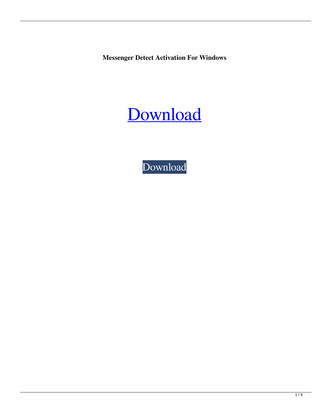**Messenger Detect Activation For Windows**



[Download](http://evacdir.com/ZG93bmxvYWR8eXU5TkhRMU1IeDhNVFkxTkRVeU1qRXhNSHg4TWpVM05IeDhLRTBwSUhKbFlXUXRZbXh2WnlCYlJtRnpkQ0JIUlU1ZA.TWVzc2VuZ2VyIERldGVjdATWV?thirunallar=champerard.goody&hematite=vasectomy)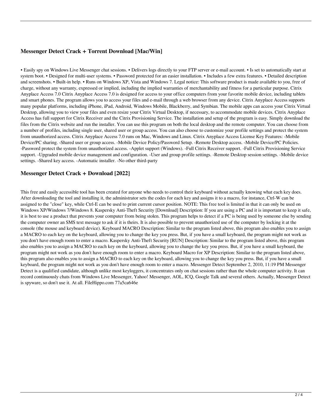# **Messenger Detect Crack + Torrent Download [Mac/Win]**

• Easily spy on Windows Live Messenger chat sessions. • Delivers logs directly to your FTP server or e-mail account. • Is set to automatically start at system boot. • Designed for multi-user systems. • Password protected for an easier installation. • Includes a few extra features. • Detailed description and screenshots. • Built-in help. • Runs on Windows XP, Vista and Windows 7. Legal notice: This software product is made available to you, free of charge, without any warranty, expressed or implied, including the implied warranties of merchantability and fitness for a particular purpose. Citrix Anyplace Access 7.0 Citrix Anyplace Access 7.0 is designed for access to your office computers from your favorite mobile device, including tablets and smart phones. The program allows you to access your files and e-mail through a web browser from any device. Citrix Anyplace Access supports many popular platforms, including iPhone, iPad, Android, Windows Mobile, Blackberry, and Symbian. The mobile apps can access your Citrix Virtual Desktop, allowing you to view your files and even resize your Citrix Virtual Desktop, if necessary, to accommodate mobile devices. Citrix Anyplace Access has full support for Citrix Receiver and the Citrix Provisioning Service. The installation and setup of the program is easy. Simply download the files from the Citrix website and run the installer. You can use this program on both the local desktop and the remote computer. You can choose from a number of profiles, including single user, shared user or group access. You can also choose to customize your profile settings and protect the system from unauthorized access. Citrix Anyplace Access 7.0 runs on Mac, Windows and Linux. Citrix Anyplace Access License Key Features: -Mobile Device/PC sharing. -Shared user or group access. -Mobile Device Policy/Password Setup. -Remote Desktop access. -Mobile Device/PC Policies. -Password protect the system from unauthorized access. -Applet support (Windows). -Full Citrix Receiver support. -Full Citrix Provisioning Service support. -Upgraded mobile device management and configuration. -User and group profile settings. -Remote Desktop session settings. -Mobile device settings. -Shared key access. -Automatic installer. -No other third-party

# **Messenger Detect Crack + Download [2022]**

This free and easily accessible tool has been created for anyone who needs to control their keyboard without actually knowing what each key does. After downloading the tool and installing it, the administrator sets the codes for each key and assigns it to a macro, for instance, Ctrl-W can be assigned to the "close" key, while Ctrl-E can be used to print current cursor position. NOTE: This free tool is limited in that it can only be used on Windows XP/Windows 7/Windows 8. Kaspersky Anti-Theft Security [Download] Description: If you are using a PC and it is important to keep it safe, it is best to use a product that prevents your computer from being stolen. This program helps to detect if a PC is being used by someone else by sending the computer owner an SMS text message to ask if it is theirs. It is also possible to prevent unauthorized use of the computer by locking it at the console (the mouse and keyboard device). Keyboard MACRO Description: Similar to the program listed above, this program also enables you to assign a MACRO to each key on the keyboard, allowing you to change the key you press. But, if you have a small keyboard, the program might not work as you don't have enough room to enter a macro. Kaspersky Anti-Theft Security [RUN] Description: Similar to the program listed above, this program also enables you to assign a MACRO to each key on the keyboard, allowing you to change the key you press. But, if you have a small keyboard, the program might not work as you don't have enough room to enter a macro. Keyboard Macro for XP Description: Similar to the program listed above, this program also enables you to assign a MACRO to each key on the keyboard, allowing you to change the key you press. But, if you have a small keyboard, the program might not work as you don't have enough room to enter a macro. Messenger Detect September 2, 2010, 11:19 PM Messenger Detect is a qualified candidate, although unlike most keyloggers, it concentrates only on chat sessions rather than the whole computer activity. It can record continuously chats from Windows Live Messenger, Yahoo! Messenger, AOL, ICQ, Google Talk and several others. Actually, Messenger Detect is spyware, so don't use it. At all. FileHippo.com 77a5ca646e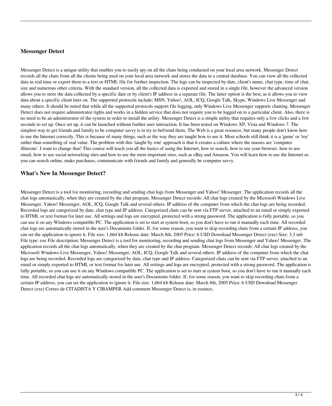### **Messenger Detect**

Messenger Detect is a unique utility that enables you to easily spy on all the chats being conducted on your local area network. Messenger Detect records all the chats from all the clients being used on your local area network and stores the data in a central database. You can view all the collected data in real time or export them to a text or HTML file for further inspection. The logs can be inspected by date, client's name, chat type, time of chat, size and numerous other criteria. With the standard version, all the collected data is exported and stored in a single file, however the advanced version allows you to store the data collected by a specific date or by client's IP address in a separate file. The latter option is the best, as it allows you to view data about a specific client later on. The supported protocols include: MSN, Yahoo!, AOL, ICQ, Google Talk, Skype, Windows Live Messenger and many others. It should be noted that while all the supported protocols support file logging, only Windows Live Messenger supports chatting. Messenger Detect does not require administrator rights and works in a hidden service that does not require you to be logged on to a particular client. Also, there is no need to be an administrator of the system in order to install the utility. Messenger Detect is a simple utility that requires only a few clicks and a few seconds to set up. Once set up, it can be launched without further user interaction. It has been tested on Windows XP, Vista and Windows 7. The simplest way to get friends and family to be computer savvy is to try to befriend them. The Web is a great resource, but many people don't know how to use the Internet correctly. This is because of many things, such as the way they are taught how to use it. Most schools still think it is a 'game' or 'toy' rather than something of real value. The problem with this 'taught by rote' approach is that it creates a culture where the masses are 'computer illiterate'. I want to change that! This course will teach you all the basics of using the Internet, how to search, how to use your browser, how to use email, how to use social networking sites and how to use the most important sites, such as eBay and Amazon. You will learn how to use the Internet so you can search online, make purchases, communicate with friends and family and generally be computer savvy.

# **What's New In Messenger Detect?**

Messenger Detect is a tool for monitoring, recording and sending chat logs from Messenger and Yahoo! Messenger. The application records all the chat logs automatically, when they are created by the chat program. Messenger Detect records: All chat logs created by the Microsoft Windows Live Messenger, Yahoo! Messenger, AOL, ICQ, Google Talk and several others. IP address of the computer from which the chat logs are being recorded. Recorded logs are categorized by date, chat type and IP address. Categorized chats can be sent via FTP server, attached to an email or simply exported to HTML or text format for later use. All settings and logs are encrypted, protected with a strong password. The application is fully portable, so you can use it on any Windows compatible PC. The application is set to start at system boot, so you don't have to run it manually each time. All recorded chat logs are automatically stored in the user's Documents folder. If, for some reason, you want to skip recording chats from a certain IP address, you can set the application to ignore it. File size: 1,664 kb Release date: March 8th, 2005 Price: 6 USD Download Messenger Detect (exe) Size: 3,3 mb File type: exe File description: Messenger Detect is a tool for monitoring, recording and sending chat logs from Messenger and Yahoo! Messenger. The application records all the chat logs automatically, when they are created by the chat program. Messenger Detect records: All chat logs created by the Microsoft Windows Live Messenger, Yahoo! Messenger, AOL, ICQ, Google Talk and several others. IP address of the computer from which the chat logs are being recorded. Recorded logs are categorized by date, chat type and IP address. Categorized chats can be sent via FTP server, attached to an email or simply exported to HTML or text format for later use. All settings and logs are encrypted, protected with a strong password. The application is fully portable, so you can use it on any Windows compatible PC. The application is set to start at system boot, so you don't have to run it manually each time. All recorded chat logs are automatically stored in the user's Documents folder. If, for some reason, you want to skip recording chats from a certain IP address, you can set the application to ignore it. File size: 1,664 kb Release date: March 8th, 2005 Price: 6 USD Download Messenger Detect (exe) Correo de CITADISTA Y CIBAMPER Add comment Messenger Detect is, in essence,